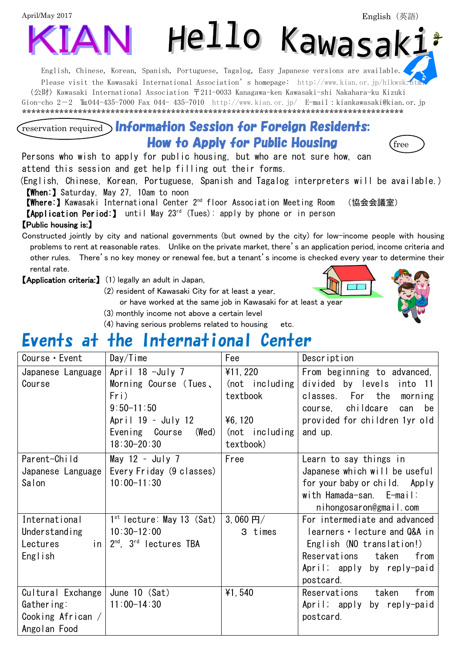April/May 2017



English, Chinese, Korean, Spanish, Portuguese, Tagalog, Easy Japanese versions are available. Please visit the Kawasaki International Association's homepage: <http://www.kian.or.jp/hlkwsk.html> (公財) Kawasaki International Association 〒211-0033 Kanagawa-ken Kawasaki-shi Nakahara-ku Kizuki Gion-cho 2-2  $\text{Im}044-435-7000$  Fax 044- 435-7010 <http://www.kian.or.jp/>E-mail:kiankawasaki@kian.or.jp \*\*\*\*\*\*\*\*\*\*\*\*\*\*\*\*\*\*\*\*\*\*\*\*\*\*\*\*\*\*\*\*\*\*\*\*\*\*\*\*\*\*\*\*\*\*\*\*\*\*\*\*\*\*\*\*\*\*\*\*\*\*\*\*\*\*\*\*\*\*\*\*\*\*\*\*\*\*\*\*\*\*

### reservation required Information Session for Foreign Residents: **How to Apply for Public Housing**  $\qquad$  **(free**

Persons who wish to apply for public housing, but who are not sure how, can attend this session and get help filling out their forms.

(English, Chinese, Korean, Portuguese, Spanish and Tagalog interpreters will be available.) 【When:】Saturday, May 27, 10am to noon

【Where:】Kawasaki International Center 2nd floor Association Meeting Room (協会会議室)

【Application Period:】 until May 23rd (Tues): apply by phone or in person

#### 【Public housing is:】

Constructed jointly by city and national governments (but owned by the city) for low-income people with housing problems to rent at reasonable rates. Unlike on the private market, there's an application period, income criteria and other rules. There's no key money or renewal fee, but a tenant's income is checked every year to determine their rental rate.

【Application criteria:】 (1) legally an adult in Japan,

(2) resident of Kawasaki City for at least a year,

or have worked at the same job in Kawasaki for at least a year

- (3) monthly income not above a certain level
- (4) having serious problems related to housing etc.

# Events at the International Center

| Course • Event                    | $Day/T$ ime                         | Fee              | Description                    |
|-----------------------------------|-------------------------------------|------------------|--------------------------------|
| Japanese Language                 | April $18 - July 7$                 | ¥11, 220         | From beginning to advanced,    |
| Course                            | Morning Course (Tues,               | (not including)  | divided by levels<br>into 11   |
|                                   | Fri)                                | textbook         | classes. For the<br>morning    |
|                                   | $9:50 - 11:50$                      |                  | course, childcare<br>can<br>be |
|                                   | April 19 - July 12                  | ¥6, 120          | provided for children 1yr old  |
|                                   | Evening Course<br>(Wed)             | $(not$ including | and up.                        |
|                                   | $18:30 - 20:30$                     | textbook)        |                                |
| Parent-Child                      | May $12 - July 7$                   | Free             | Learn to say things in         |
| Japanese Language                 | Every Friday (9 classes)            |                  | Japanese which will be useful  |
| Salon                             | $10:00 - 11:30$                     |                  | for your baby or child. Apply  |
|                                   |                                     |                  | with Hamada-san. E-mail:       |
|                                   |                                     |                  | nihongosaron@gmail.com         |
| International                     | $1st$ lecture: May 13 (Sat)         | 3,060 $H/$       | For intermediate and advanced  |
| Understanding                     | $10:30 - 12:00$                     | 3 times          | learners · lecture and Q&A in  |
| Lectures                          | in $2^{nd}$ . $3^{rd}$ lectures TBA |                  | English (NO translation!)      |
| English                           |                                     |                  | Reservations<br>taken<br>from  |
|                                   |                                     |                  | April; apply by reply-paid     |
|                                   |                                     |                  | postcard.                      |
| Cultural Exchange   June 10 (Sat) |                                     | ¥1,540           | from<br>Reservations taken     |
| Gathering:                        | $11:00-14:30$                       |                  | April; apply by reply-paid     |
| Cooking African /                 |                                     |                  | postcard.                      |
| Angolan Food                      |                                     |                  |                                |